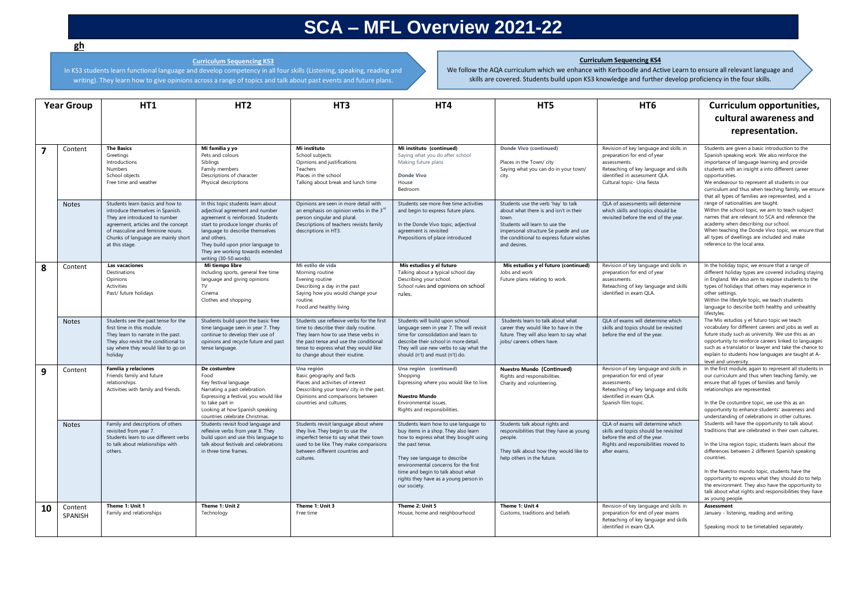## **SCA – MFL Overview 2021-22**

## **Curriculum Sequencing KS4**

**Curriculum Sequencing KS3**

In KS3 students learn functional language and develop competency in all four skills (Listening, speaking, reading and writing). They learn how to give opinions across a range of topics and talk about past events and future plans.

We follow the AQA curriculum which we enhance with Kerboodle and Active Learn to ensure all relevant language and skills are covered. Students build upon KS3 knowledge and further develop proficiency in the four skills.

| <b>Year Group</b> |                           | <b>HT1</b>                                                                                                                                                                                                                                | HT <sub>2</sub>                                                                                                                                                                                                                                                                                       | HT <sub>3</sub>                                                                                                                                                                                                                                  | HT4                                                                                                                                                                                                                                                                                                              | HT5                                                                                                                                                                                                                           | HT <sub>6</sub>                                                                                                                                                                               | Curriculum opportunities,<br>cultural awareness and                                                                                                                                                                                                                                                                                                                                                                                                                        |
|-------------------|---------------------------|-------------------------------------------------------------------------------------------------------------------------------------------------------------------------------------------------------------------------------------------|-------------------------------------------------------------------------------------------------------------------------------------------------------------------------------------------------------------------------------------------------------------------------------------------------------|--------------------------------------------------------------------------------------------------------------------------------------------------------------------------------------------------------------------------------------------------|------------------------------------------------------------------------------------------------------------------------------------------------------------------------------------------------------------------------------------------------------------------------------------------------------------------|-------------------------------------------------------------------------------------------------------------------------------------------------------------------------------------------------------------------------------|-----------------------------------------------------------------------------------------------------------------------------------------------------------------------------------------------|----------------------------------------------------------------------------------------------------------------------------------------------------------------------------------------------------------------------------------------------------------------------------------------------------------------------------------------------------------------------------------------------------------------------------------------------------------------------------|
|                   |                           |                                                                                                                                                                                                                                           |                                                                                                                                                                                                                                                                                                       |                                                                                                                                                                                                                                                  |                                                                                                                                                                                                                                                                                                                  |                                                                                                                                                                                                                               |                                                                                                                                                                                               | representation.                                                                                                                                                                                                                                                                                                                                                                                                                                                            |
| 7                 | Content                   | <b>The Basics</b><br>Greetings<br>Introductions<br><b>Numbers</b><br>School objects<br>Free time and weather                                                                                                                              | Mi familia y yo<br>Pets and colours<br>Siblings<br>Family members<br>Descriptions of character<br>Physical descriptions                                                                                                                                                                               | Mi instituto<br>School subjects<br>Opinions and justifications<br>Teachers<br>Places in the school<br>Talking about break and lunch time                                                                                                         | Mi instituto (continued)<br>Saying what you do after school<br>Making future plans<br><b>Donde Vivo</b><br>House<br>Bedroom                                                                                                                                                                                      | Donde Vivo (continued)<br>Places in the Town/ city<br>Saying what you can do in your town/<br>city.                                                                                                                           | Revision of key language and skills in<br>preparation for end of year<br>assessments.<br>Reteaching of key language and skills<br>identified in assessment QLA.<br>Cultural topic- Una fiesta | Students are given a basic introduction to the<br>Spanish speaking work. We also reinforce the<br>importance of language learning and provide<br>students with an insight a into different career<br>opportunities.<br>We endeavour to represent all students in our<br>curriculum and thus when teaching family, we ensure<br>that all types of families are represented, and a                                                                                           |
|                   | <b>Notes</b>              | Students learn basics and how to<br>introduce themselves in Spanish.<br>They are introduced to number<br>agreement, articles and the concept<br>of masculine and feminine nouns.<br>Chunks of language are mainly short<br>at this stage. | In this topic students learn about<br>adjectival agreement and number<br>agreement is reinforced. Students<br>start to produce longer chunks of<br>language to describe themselves<br>and others.<br>They build upon prior language to<br>They are working towards extended<br>writing (30-50 words). | Opinions are seen in more detail with<br>an emphasis on opinion verbs in the 3 <sup>rd</sup><br>person singular and plural.<br>Descriptions of teachers revisits family<br>descriptions in HT3.                                                  | Students see more free time activities<br>and begin to express future plans.<br>In the Donde Vivo topic, adjectival<br>agreement is revisited<br>Prepositions of place introduced                                                                                                                                | Students use the verb 'hay' to talk<br>about what there is and isn't in their<br>town.<br>Students will learn to use the<br>impersonal structure Se puede and use<br>the conditional to express future wishes<br>and desires. | QLA of assessments will determine<br>which skills and topics should be<br>revisited before the end of the year.                                                                               | range of nationalities are taught.<br>Within the school topic, we aim to teach subject<br>names that are relevant to SCA and reference the<br>academy when describing our school.<br>When teaching the Donde Vivo topic, we ensure that<br>all types of dwellings are included and make<br>reference to the local area.                                                                                                                                                    |
| 8                 | Content                   | Las vacaciones<br>Destinations<br>Opinions<br>Activities<br>Past/ future holidays                                                                                                                                                         | Mi tiempo libre<br>Including sports, general free time<br>language and giving opinions<br><b>TV</b><br>Cinema<br>Clothes and shopping                                                                                                                                                                 | Mi estilo de vida<br>Morning routine<br>Evening routine<br>Describing a day in the past<br>Saying how you would change your<br>routine.<br>Food and healthy living                                                                               | Mis estudios y el futuro<br>Talking about a typical school day<br>Describing your school.<br>School rules and opinions on school<br>rules.                                                                                                                                                                       | Mis estudios y el futuro (continued)<br>Jobs and work<br>Future plans relating to work.                                                                                                                                       | Revision of key language and skills in<br>preparation for end of year<br>assessments.<br>Reteaching of key language and skills<br>identified in exam OLA.                                     | In the holiday topic, we ensure that a range of<br>different holiday types are covered including staying<br>in England. We also aim to expose students to the<br>types of holidays that others may experience in<br>other settings.<br>Within the lifestyle topic, we teach students<br>language to describe both healthy and unhealthy<br>lifestyles.                                                                                                                     |
|                   | <b>Notes</b>              | Students see the past tense for the<br>first time in this module.<br>They learn to narrate in the past.<br>They also revisit the conditional to<br>say where they would like to go on<br>holiday                                          | Students build upon the basic free<br>time language seen in year 7. They<br>continue to develop their use of<br>opinions and recycle future and past<br>tense language.                                                                                                                               | Students use reflexive verbs for the first<br>time to describe their daily routine.<br>They learn how to use these verbs in<br>the past tense and use the conditional<br>tense to express what they would like<br>to change about their routine. | Students will build upon school<br>language seen in year 7. The will revisit<br>time for consolidation and learn to<br>describe their school in more detail.<br>They will use new verbs to say what the<br>should (n't) and must (n't) do.                                                                       | Students learn to talk about what<br>career they would like to have in the<br>future. They will also learn to say what<br>iobs/ careers others have.                                                                          | OLA of exams will determine which<br>skills and topics should be revisited<br>before the end of the year.                                                                                     | The Mis estudios y el futuro topic we teach<br>vocabulary for different careers and jobs as well as<br>future study such as university. We use this as an<br>opportunity to reinforce careers linked to languages<br>such as a translator or lawyer and take the chance to<br>explain to students how languages are taught at A-<br>level and university.                                                                                                                  |
| 9                 | Content                   | <b>Familia y relaciones</b><br>Friends family and future<br>relationships.<br>Activities with family and friends.                                                                                                                         | De costumbre<br>Food<br>Key festival language<br>Narrating a past celebration.<br>Expressing a festival, you would like<br>to take part in<br>Looking at how Spanish speaking<br>countries celebrate Christmas.                                                                                       | Una región<br>Basic geography and facts<br>Places and activities of interest<br>Desscribing your town/ city in the past.<br>Opinions and comparisons between<br>countries and cultures.                                                          | Una región (continued)<br>Shopping<br>Expressing where you would like to live.<br><b>Nuestro Mundo</b><br>Environmental issues.<br>Rights and responsibilities.                                                                                                                                                  | <b>Nuestro Mundo (Continued)</b><br>Rights and responsibilities.<br>Charity and volunteering.                                                                                                                                 | Revision of key language and skills in<br>preparation for end of year<br>assessments.<br>Reteaching of key language and skills<br>identified in exam QLA.<br>Spanish film topic.              | In the first module, again to represent all students in<br>our curriculum and thus when teaching family, we<br>ensure that all types of families and family<br>relationships are represented.<br>In the De costumbre topic, we use this as an<br>opportunity to enhance students' awareness and<br>understanding of celebrations in other cultures.                                                                                                                        |
|                   | <b>Notes</b>              | Family and descriptions of others<br>revisited from year 7.<br>Students learn to use different verbs<br>to talk about relationships with<br>others.                                                                                       | Students revisit food language and<br>reflexive verbs from year 8. They<br>build upon and use this language to<br>talk about festivals and celebrations<br>in three time frames.                                                                                                                      | Students revisit language about where<br>they live. They begin to use the<br>imperfect tense to say what their town<br>used to be like. They make comparisons<br>between different countries and<br>cultures.                                    | Students learn how to use language to<br>buy items in a shop. They also learn<br>how to express what they bought using<br>the past tense.<br>They see language to describe<br>environmental concerns for the first<br>time and begin to talk about what<br>rights they have as a young person in<br>our society. | Students talk about rights and<br>responsibilities that they have as young<br>people.<br>They talk about how they would like to<br>help others in the future.                                                                 | QLA of exams will determine which<br>skills and topics should be revisited<br>before the end of the year.<br>Rights and responsibilities moved to<br>after exams.                             | Students will have the opportunity to talk about<br>traditions that are celebrated in their own cultures.<br>In the Una region topic, students learn about the<br>differences between 2 different Spanish speaking<br>countries.<br>In the Nuestro mundo topic, students have the<br>opportunity to express what they should do to help<br>the environment. They also have the opportunity to<br>talk about what rights and responsibilities they have<br>as young people. |
| 10                | Content<br><b>SPANISH</b> | Theme 1: Unit 1<br>Family and relationships                                                                                                                                                                                               | Theme 1: Unit 2<br>Technology                                                                                                                                                                                                                                                                         | Theme 1: Unit 3<br>Free time                                                                                                                                                                                                                     | Theme 2: Unit 5<br>House, home and neighbourhood                                                                                                                                                                                                                                                                 | Theme 1: Unit 4<br>Customs, traditions and beliefs                                                                                                                                                                            | Revision of key language and skills in<br>preparation for end of year exams<br>Reteaching of key language and skills<br>identified in exam OLA.                                               | Assessment<br>January - listening, reading and writing.<br>Speaking mock to be timetabled separately.                                                                                                                                                                                                                                                                                                                                                                      |

**gh**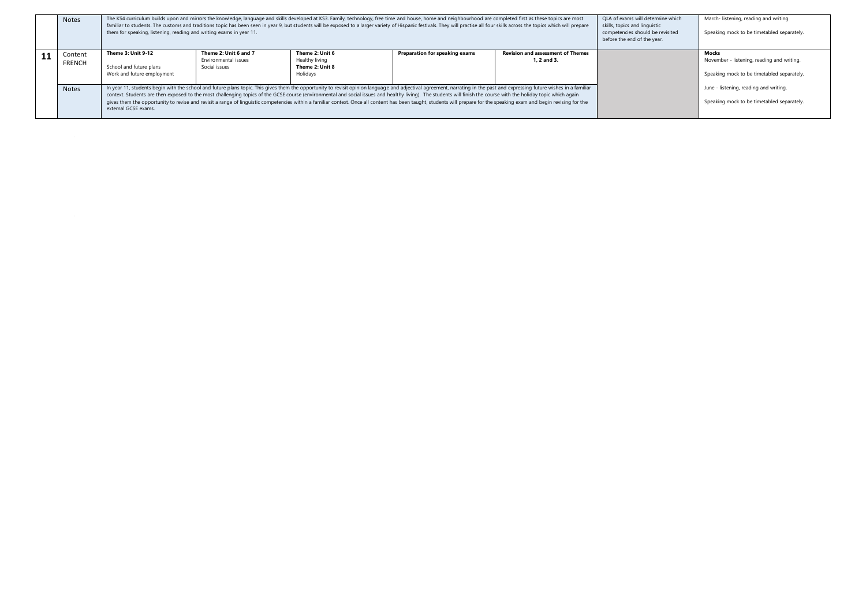|     | <b>Notes</b>             | The KS4 curriculum builds upon and mirrors the knowledge, language and skills developed at KS3. Family, technology, free time and house, home and neighbourhood are completed first as these topics are most<br>familiar to students. The customs and traditions topic has been seen in year 9, but students will be exposed to a larger variety of Hispanic festivals. They will practise all four skills across the topics which will prepar<br>them for speaking, listening, reading and writing exams in year 11.                                                                                                                                                                                                                       |                                                                |                                                      |                                | OLA of exams will determine which<br>skills, topics and linguistic<br>competencies should be revisited<br>before the end of the year. | March- listening, reading and writing.<br>Speaking mock to be timetabled separately. |                                                                                                   |
|-----|--------------------------|---------------------------------------------------------------------------------------------------------------------------------------------------------------------------------------------------------------------------------------------------------------------------------------------------------------------------------------------------------------------------------------------------------------------------------------------------------------------------------------------------------------------------------------------------------------------------------------------------------------------------------------------------------------------------------------------------------------------------------------------|----------------------------------------------------------------|------------------------------------------------------|--------------------------------|---------------------------------------------------------------------------------------------------------------------------------------|--------------------------------------------------------------------------------------|---------------------------------------------------------------------------------------------------|
| -11 | Content<br><b>FRENCH</b> | <b>Theme 3: Unit 9-12</b><br>School and future plans                                                                                                                                                                                                                                                                                                                                                                                                                                                                                                                                                                                                                                                                                        | Theme 2: Unit 6 and 7<br>Environmental issues<br>Social issues | Theme 2: Unit 6<br>Healthy living<br>Theme 2: Unit 8 | Preparation for speaking exams | <b>Revision and assessment of Themes</b><br>1. 2 and 3.                                                                               |                                                                                      | Mocks<br>November - listening, reading and writing.<br>Speaking mock to be timetabled separately. |
|     | <b>Notes</b>             | Work and future employment<br>Holidays<br>In year 11, students begin with the school and future plans topic. This gives them the opportunity to revisit opinion language and adjectival agreement, narrating in the past and expressing future wishes in a familiar<br>context. Students are then exposed to the most challenging topics of the GCSE course (environmental and social issues and healthy living). The students will finish the course with the holiday topic which again<br>gives them the opportunity to revise and revisit a range of linguistic competencies within a familiar context. Once all content has been taught, students will prepare for the speaking exam and begin revising for the<br>external GCSE exams. |                                                                |                                                      |                                |                                                                                                                                       | June - listening, reading and writing.<br>Speaking mock to be timetabled separately. |                                                                                                   |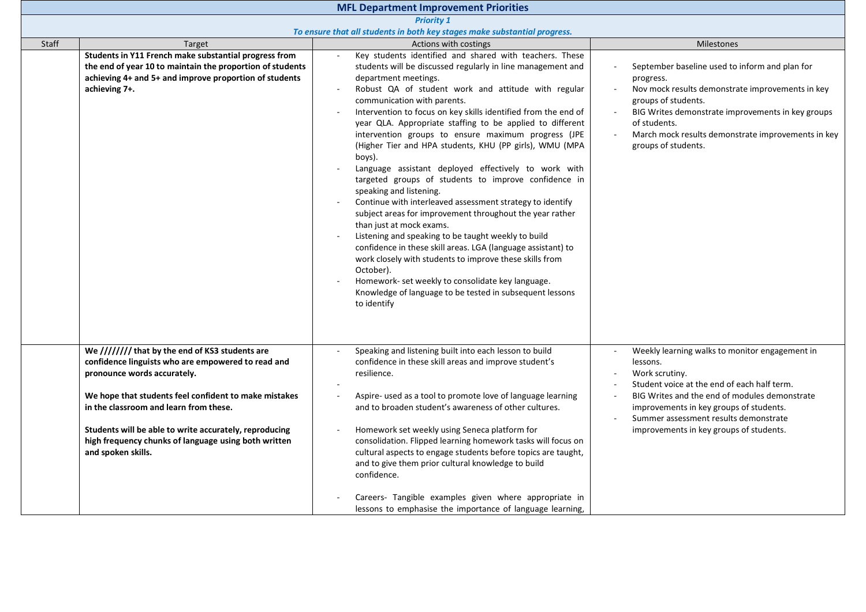| <b>MFL Department Improvement Priorities</b> |                                                                                                                                                                                                                                                                                                                                                                                 |                                                                                                                                                                                                                                                                                                                                                                                                                                                                                                                                                                                                                                                                                                                                                                                                                                                                                                                                                                                                                                                                                                                                                                                                          |                                                                                                                                                                                                                                                                                                             |  |  |  |
|----------------------------------------------|---------------------------------------------------------------------------------------------------------------------------------------------------------------------------------------------------------------------------------------------------------------------------------------------------------------------------------------------------------------------------------|----------------------------------------------------------------------------------------------------------------------------------------------------------------------------------------------------------------------------------------------------------------------------------------------------------------------------------------------------------------------------------------------------------------------------------------------------------------------------------------------------------------------------------------------------------------------------------------------------------------------------------------------------------------------------------------------------------------------------------------------------------------------------------------------------------------------------------------------------------------------------------------------------------------------------------------------------------------------------------------------------------------------------------------------------------------------------------------------------------------------------------------------------------------------------------------------------------|-------------------------------------------------------------------------------------------------------------------------------------------------------------------------------------------------------------------------------------------------------------------------------------------------------------|--|--|--|
|                                              | <b>Priority 1</b>                                                                                                                                                                                                                                                                                                                                                               |                                                                                                                                                                                                                                                                                                                                                                                                                                                                                                                                                                                                                                                                                                                                                                                                                                                                                                                                                                                                                                                                                                                                                                                                          |                                                                                                                                                                                                                                                                                                             |  |  |  |
|                                              |                                                                                                                                                                                                                                                                                                                                                                                 | To ensure that all students in both key stages make substantial progress.                                                                                                                                                                                                                                                                                                                                                                                                                                                                                                                                                                                                                                                                                                                                                                                                                                                                                                                                                                                                                                                                                                                                |                                                                                                                                                                                                                                                                                                             |  |  |  |
| <b>Staff</b>                                 | Target                                                                                                                                                                                                                                                                                                                                                                          | Actions with costings                                                                                                                                                                                                                                                                                                                                                                                                                                                                                                                                                                                                                                                                                                                                                                                                                                                                                                                                                                                                                                                                                                                                                                                    | <b>Milestones</b>                                                                                                                                                                                                                                                                                           |  |  |  |
|                                              | Students in Y11 French make substantial progress from<br>the end of year 10 to maintain the proportion of students<br>achieving 4+ and 5+ and improve proportion of students<br>achieving 7+.                                                                                                                                                                                   | Key students identified and shared with teachers. These<br>students will be discussed regularly in line management and<br>department meetings.<br>Robust QA of student work and attitude with regular<br>$\blacksquare$<br>communication with parents.<br>Intervention to focus on key skills identified from the end of<br>$\overline{\phantom{a}}$<br>year QLA. Appropriate staffing to be applied to different<br>intervention groups to ensure maximum progress (JPE<br>(Higher Tier and HPA students, KHU (PP girls), WMU (MPA<br>boys).<br>Language assistant deployed effectively to work with<br>targeted groups of students to improve confidence in<br>speaking and listening.<br>Continue with interleaved assessment strategy to identify<br>$\sim$<br>subject areas for improvement throughout the year rather<br>than just at mock exams.<br>Listening and speaking to be taught weekly to build<br>$\blacksquare$<br>confidence in these skill areas. LGA (language assistant) to<br>work closely with students to improve these skills from<br>October).<br>Homework- set weekly to consolidate key language.<br>Knowledge of language to be tested in subsequent lessons<br>to identify | September baseline used to inform and plan for<br>progress.<br>Nov mock results demonstrate improvements in key<br>groups of students.<br>BIG Writes demonstrate improvements in key groups<br>of students.<br>March mock results demonstrate improvements in key<br>groups of students.                    |  |  |  |
|                                              | We //////// that by the end of KS3 students are<br>confidence linguists who are empowered to read and<br>pronounce words accurately.<br>We hope that students feel confident to make mistakes<br>in the classroom and learn from these.<br>Students will be able to write accurately, reproducing<br>high frequency chunks of language using both written<br>and spoken skills. | Speaking and listening built into each lesson to build<br>$\mathbf{r}$<br>confidence in these skill areas and improve student's<br>resilience.<br>Aspire- used as a tool to promote love of language learning<br>and to broaden student's awareness of other cultures.<br>Homework set weekly using Seneca platform for<br>$\sim$<br>consolidation. Flipped learning homework tasks will focus on<br>cultural aspects to engage students before topics are taught,<br>and to give them prior cultural knowledge to build<br>confidence.<br>Careers- Tangible examples given where appropriate in<br>lessons to emphasise the importance of language learning,                                                                                                                                                                                                                                                                                                                                                                                                                                                                                                                                            | Weekly learning walks to monitor engagement in<br>lessons.<br>Work scrutiny.<br>Student voice at the end of each half term.<br>BIG Writes and the end of modules demonstrate<br>improvements in key groups of students.<br>Summer assessment results demonstrate<br>improvements in key groups of students. |  |  |  |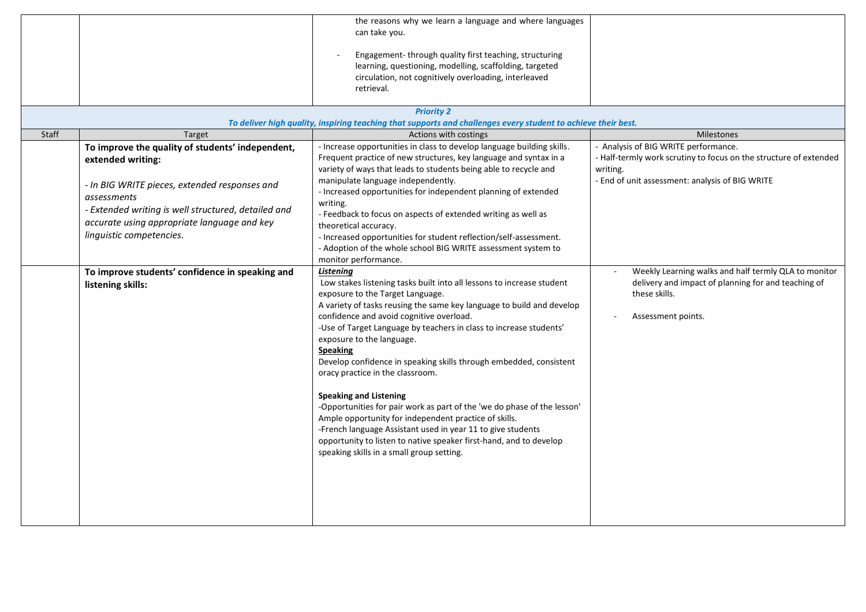|       |                                                                      | the reasons why we learn a language and where languages<br>can take you.<br>Engagement-through quality first teaching, structuring<br>learning, questioning, modelling, scaffolding, targeted<br>circulation, not cognitively overloading, interleaved<br>retrieval.<br><b>Priority 2</b>                                                                                                                                                                                                                                                                                                                                                                                                                                                                                                                                          |                                                                                                                                                    |
|-------|----------------------------------------------------------------------|------------------------------------------------------------------------------------------------------------------------------------------------------------------------------------------------------------------------------------------------------------------------------------------------------------------------------------------------------------------------------------------------------------------------------------------------------------------------------------------------------------------------------------------------------------------------------------------------------------------------------------------------------------------------------------------------------------------------------------------------------------------------------------------------------------------------------------|----------------------------------------------------------------------------------------------------------------------------------------------------|
|       |                                                                      | To deliver high quality, inspiring teaching that supports and challenges every student to achieve their best.                                                                                                                                                                                                                                                                                                                                                                                                                                                                                                                                                                                                                                                                                                                      |                                                                                                                                                    |
| Staff | Target                                                               | Actions with costings                                                                                                                                                                                                                                                                                                                                                                                                                                                                                                                                                                                                                                                                                                                                                                                                              | <b>Milestones</b>                                                                                                                                  |
|       | To improve the quality of students' independent,                     | - Increase opportunities in class to develop language building skills.<br>Frequent practice of new structures, key language and syntax in a                                                                                                                                                                                                                                                                                                                                                                                                                                                                                                                                                                                                                                                                                        | - Analysis of BIG WRITE performance.<br>- Half-termly work scrutiny to focus on the structure of extended                                          |
|       | extended writing:                                                    | variety of ways that leads to students being able to recycle and                                                                                                                                                                                                                                                                                                                                                                                                                                                                                                                                                                                                                                                                                                                                                                   | writing.                                                                                                                                           |
|       | - In BIG WRITE pieces, extended responses and                        | manipulate language independently.                                                                                                                                                                                                                                                                                                                                                                                                                                                                                                                                                                                                                                                                                                                                                                                                 | - End of unit assessment: analysis of BIG WRITE                                                                                                    |
|       | <i>assessments</i>                                                   | - Increased opportunities for independent planning of extended                                                                                                                                                                                                                                                                                                                                                                                                                                                                                                                                                                                                                                                                                                                                                                     |                                                                                                                                                    |
|       | - Extended writing is well structured, detailed and                  | writing.                                                                                                                                                                                                                                                                                                                                                                                                                                                                                                                                                                                                                                                                                                                                                                                                                           |                                                                                                                                                    |
|       | accurate using appropriate language and key                          | - Feedback to focus on aspects of extended writing as well as<br>theoretical accuracy.                                                                                                                                                                                                                                                                                                                                                                                                                                                                                                                                                                                                                                                                                                                                             |                                                                                                                                                    |
|       | linguistic competencies.                                             | - Increased opportunities for student reflection/self-assessment.                                                                                                                                                                                                                                                                                                                                                                                                                                                                                                                                                                                                                                                                                                                                                                  |                                                                                                                                                    |
|       |                                                                      | - Adoption of the whole school BIG WRITE assessment system to                                                                                                                                                                                                                                                                                                                                                                                                                                                                                                                                                                                                                                                                                                                                                                      |                                                                                                                                                    |
|       |                                                                      | monitor performance.                                                                                                                                                                                                                                                                                                                                                                                                                                                                                                                                                                                                                                                                                                                                                                                                               |                                                                                                                                                    |
|       | To improve students' confidence in speaking and<br>listening skills: | Listening<br>Low stakes listening tasks built into all lessons to increase student<br>exposure to the Target Language.<br>A variety of tasks reusing the same key language to build and develop<br>confidence and avoid cognitive overload.<br>-Use of Target Language by teachers in class to increase students'<br>exposure to the language.<br><b>Speaking</b><br>Develop confidence in speaking skills through embedded, consistent<br>oracy practice in the classroom.<br><b>Speaking and Listening</b><br>-Opportunities for pair work as part of the 'we do phase of the lesson'<br>Ample opportunity for independent practice of skills.<br>-French language Assistant used in year 11 to give students<br>opportunity to listen to native speaker first-hand, and to develop<br>speaking skills in a small group setting. | Weekly Learning walks and half termly QLA to monitor<br>delivery and impact of planning for and teaching of<br>these skills.<br>Assessment points. |